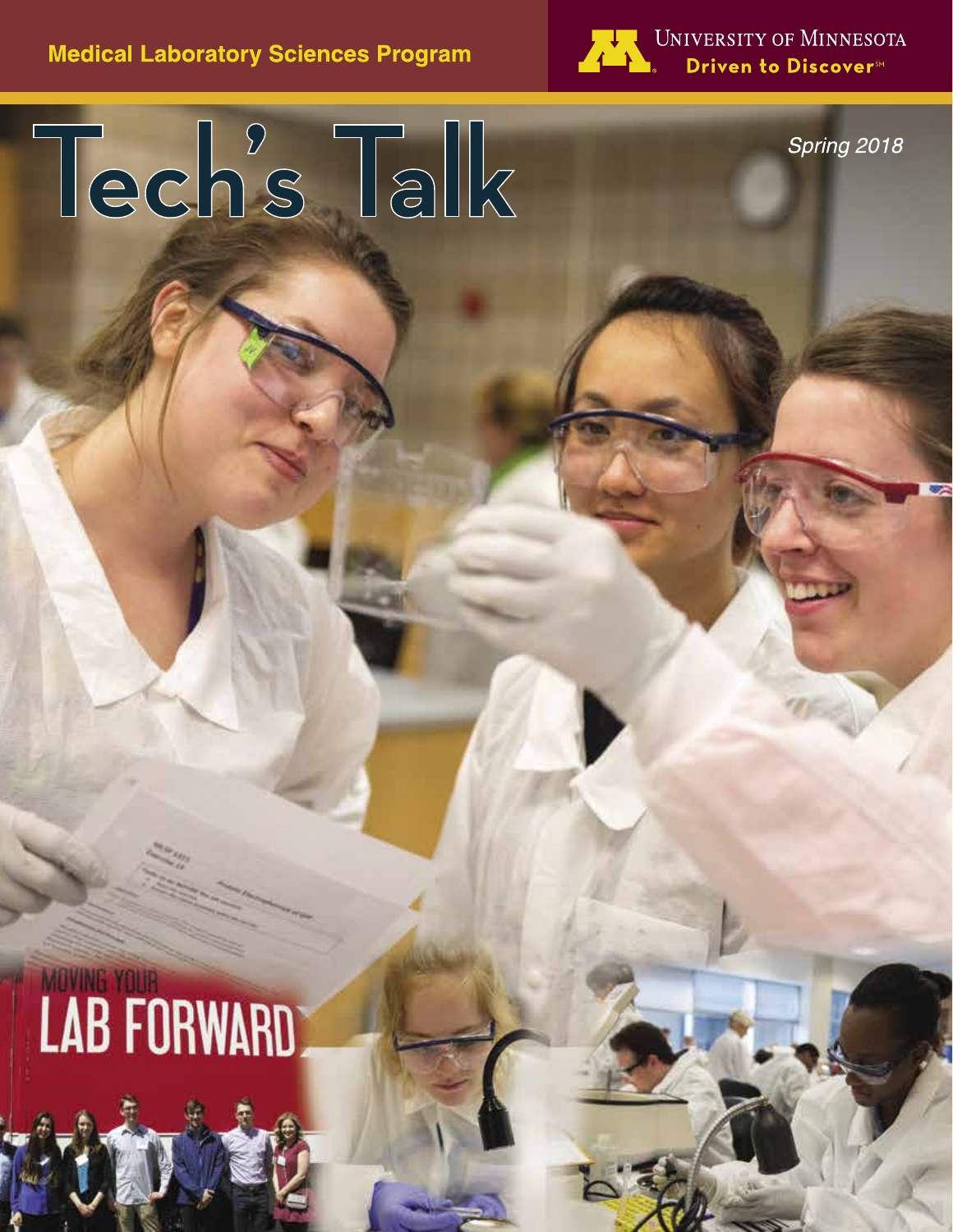**Medical Laboratory Sciences Program** 

Tech's Talk



UNIVERSITY OF MINNESOTA Driven to Discover<sup>5M</sup>

**Recent Grad Gives Advice**

**MLS Partnerships Reap Rewards**

**John Walumni Banquet Banquet Banquet Banquet Banquet Banquet Banquet Banquet Banquet Banquet Banquet Banquet Banquet Banquet Banquet Banquet Banquet Banquet Banquet Banquet Banquet Banquet Banquet Banquet Banquet Banquet** 

Spring 2018

# **LAB FORWARD**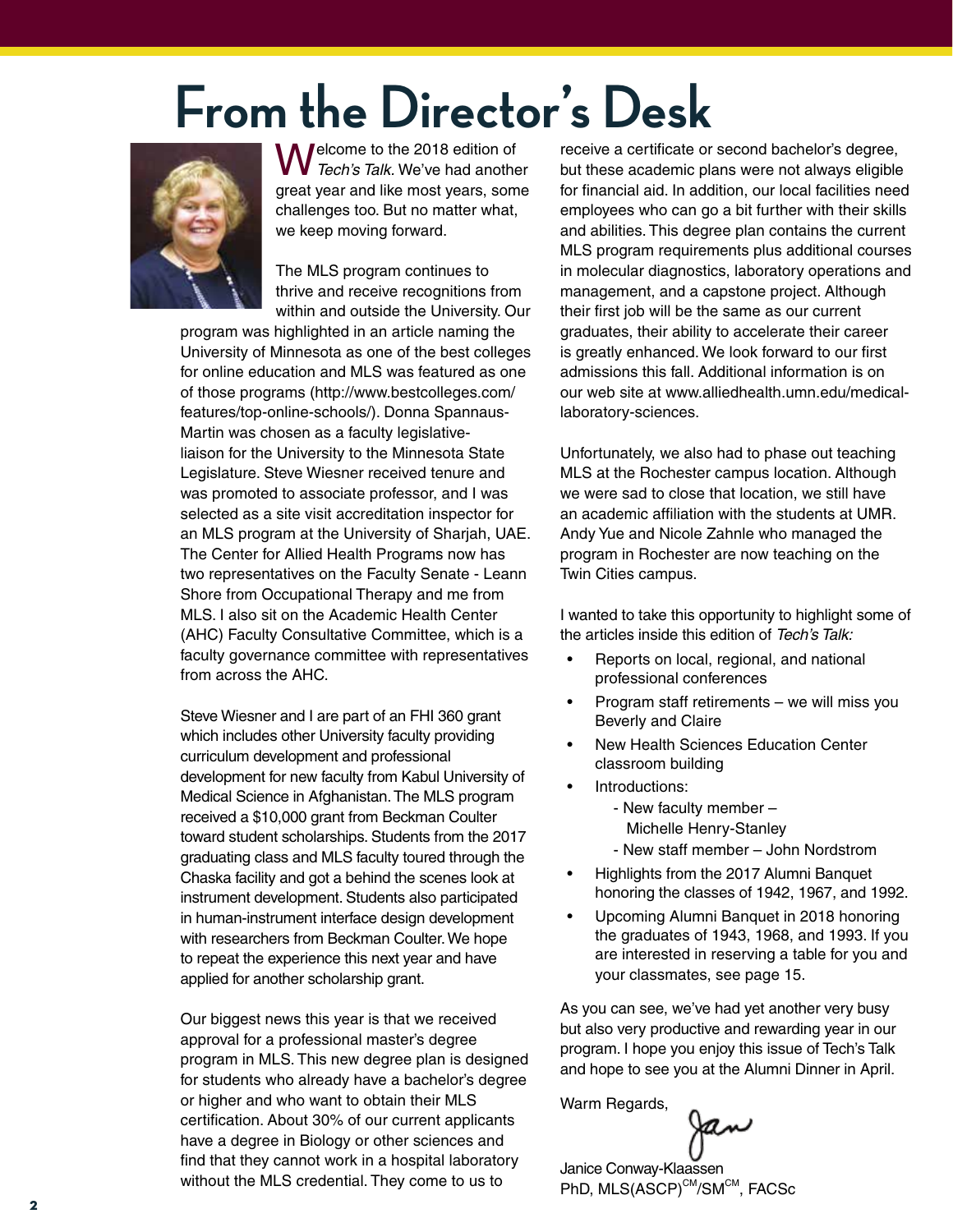# **From the Director's Desk**



Welcome to the 2018 edition of *Tech's Talk.* We've had another great year and like most years, some challenges too. But no matter what, we keep moving forward.

The MLS program continues to thrive and receive recognitions from within and outside the University. Our

program was highlighted in an article naming the University of Minnesota as one of the best colleges for online education and MLS was featured as one of those programs (http://www.bestcolleges.com/ features/top-online-schools/). Donna Spannaus-Martin was chosen as a faculty legislativeliaison for the University to the Minnesota State Legislature. Steve Wiesner received tenure and was promoted to associate professor, and I was selected as a site visit accreditation inspector for an MLS program at the University of Sharjah, UAE. The Center for Allied Health Programs now has two representatives on the Faculty Senate - Leann Shore from Occupational Therapy and me from MLS. I also sit on the Academic Health Center (AHC) Faculty Consultative Committee, which is a faculty governance committee with representatives from across the AHC.

Steve Wiesner and I are part of an FHI 360 grant which includes other University faculty providing curriculum development and professional development for new faculty from Kabul University of Medical Science in Afghanistan. The MLS program received a \$10,000 grant from Beckman Coulter toward student scholarships. Students from the 2017 graduating class and MLS faculty toured through the Chaska facility and got a behind the scenes look at instrument development. Students also participated in human-instrument interface design development with researchers from Beckman Coulter. We hope to repeat the experience this next year and have applied for another scholarship grant.

Our biggest news this year is that we received approval for a professional master's degree program in MLS. This new degree plan is designed for students who already have a bachelor's degree or higher and who want to obtain their MLS certification. About 30% of our current applicants have a degree in Biology or other sciences and find that they cannot work in a hospital laboratory without the MLS credential. They come to us to

receive a certificate or second bachelor's degree, but these academic plans were not always eligible for financial aid. In addition, our local facilities need employees who can go a bit further with their skills and abilities. This degree plan contains the current MLS program requirements plus additional courses in molecular diagnostics, laboratory operations and management, and a capstone project. Although their first job will be the same as our current graduates, their ability to accelerate their career is greatly enhanced. We look forward to our first admissions this fall. Additional information is on our web site at www.alliedhealth.umn.edu/medicallaboratory-sciences.

Unfortunately, we also had to phase out teaching MLS at the Rochester campus location. Although we were sad to close that location, we still have an academic affiliation with the students at UMR. Andy Yue and Nicole Zahnle who managed the program in Rochester are now teaching on the Twin Cities campus.

I wanted to take this opportunity to highlight some of the articles inside this edition of *Tech's Talk:*

- Reports on local, regional, and national professional conferences
- Program staff retirements we will miss you Beverly and Claire
- New Health Sciences Education Center classroom building
- Introductions:
	- New faculty member –

Michelle Henry-Stanley

- New staff member John Nordstrom
- Highlights from the 2017 Alumni Banquet honoring the classes of 1942, 1967, and 1992.
- Upcoming Alumni Banquet in 2018 honoring the graduates of 1943, 1968, and 1993. If you are interested in reserving a table for you and your classmates, see page 15.

As you can see, we've had yet another very busy but also very productive and rewarding year in our program. I hope you enjoy this issue of Tech's Talk and hope to see you at the Alumni Dinner in April.

Warm Regards,

Janice Conway-Klaassen

PhD, MLS(ASCP)<sup>CM</sup>/SM<sup>CM</sup>, FACSc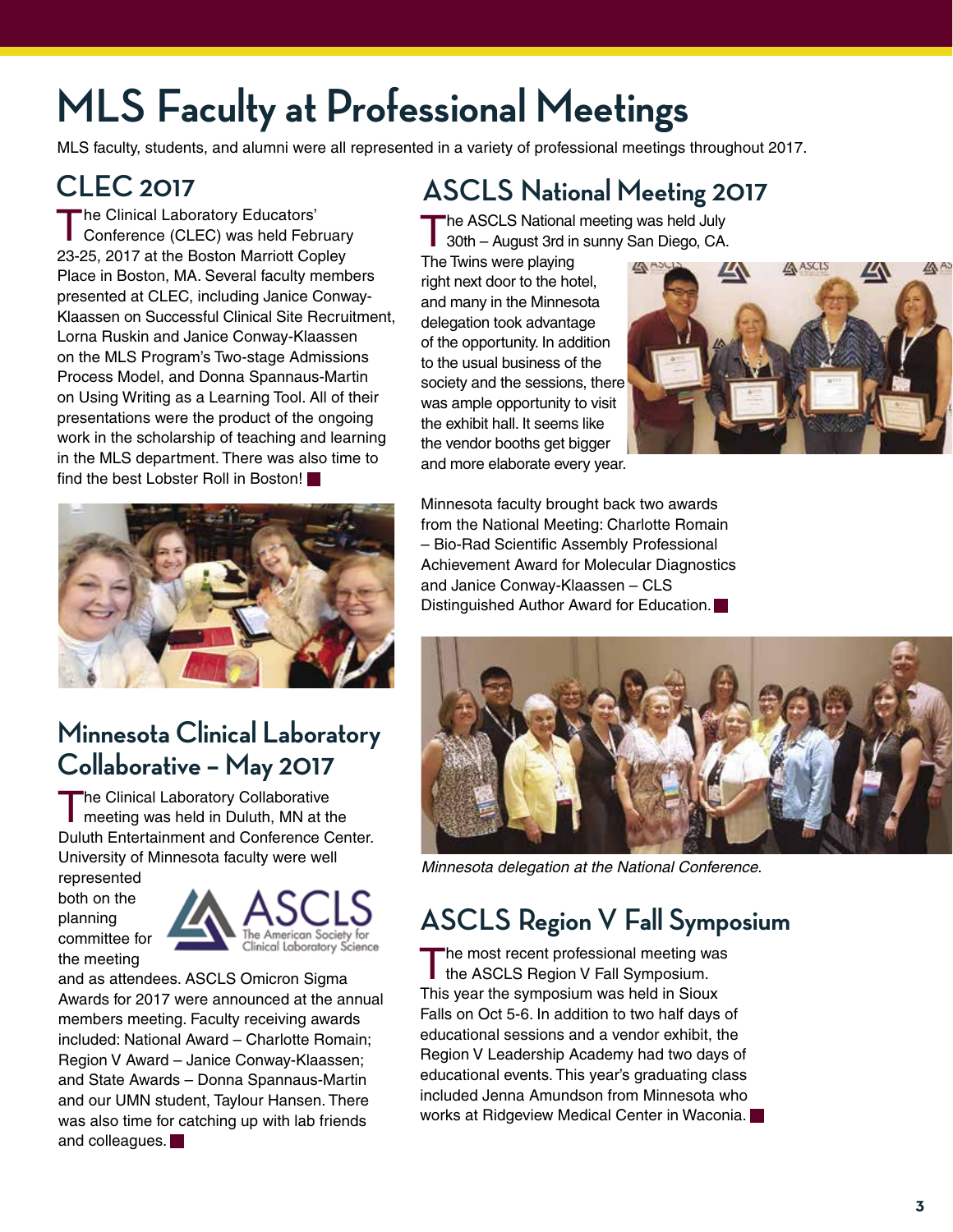## **MLS Faculty at Professional Meetings**

MLS faculty, students, and alumni were all represented in a variety of professional meetings throughout 2017.

### **CLEC 2017**

The Clinical Laboratory Educators'<br>
Conference (CLEC) was held February 23-25, 2017 at the Boston Marriott Copley Place in Boston, MA. Several faculty members presented at CLEC, including Janice Conway-Klaassen on Successful Clinical Site Recruitment, Lorna Ruskin and Janice Conway-Klaassen on the MLS Program's Two-stage Admissions Process Model, and Donna Spannaus-Martin on Using Writing as a Learning Tool. All of their presentations were the product of the ongoing work in the scholarship of teaching and learning in the MLS department. There was also time to find the best Lobster Roll in Boston!



### **Minnesota Clinical Laboratory Collaborative – May 2017**

The Clinical Laboratory Collaborative **n** meeting was held in Duluth, MN at the Duluth Entertainment and Conference Center. University of Minnesota faculty were well

represented both on the planning committee for the meeting



and as attendees. ASCLS Omicron Sigma Awards for 2017 were announced at the annual members meeting. Faculty receiving awards included: National Award – Charlotte Romain; Region V Award – Janice Conway-Klaassen; and State Awards – Donna Spannaus-Martin and our UMN student, Taylour Hansen. There was also time for catching up with lab friends and colleagues.

### **ASCLS National Meeting 2017**

The ASCLS National meeting was held July 30th – August 3rd in sunny San Diego, CA.

The Twins were playing right next door to the hotel, and many in the Minnesota delegation took advantage of the opportunity. In addition to the usual business of the society and the sessions, there was ample opportunity to visit the exhibit hall. It seems like the vendor booths get bigger and more elaborate every year.



Minnesota faculty brought back two awards from the National Meeting: Charlotte Romain – Bio-Rad Scientific Assembly Professional Achievement Award for Molecular Diagnostics and Janice Conway-Klaassen – CLS Distinguished Author Award for Education.



*Minnesota delegation at the National Conference.*

### **ASCLS Region V Fall Symposium**

The most recent professional meeting was<br>the ASCLS Region V Fall Symposium. This year the symposium was held in Sioux Falls on Oct 5-6. In addition to two half days of educational sessions and a vendor exhibit, the Region V Leadership Academy had two days of educational events. This year's graduating class included Jenna Amundson from Minnesota who works at Ridgeview Medical Center in Waconia.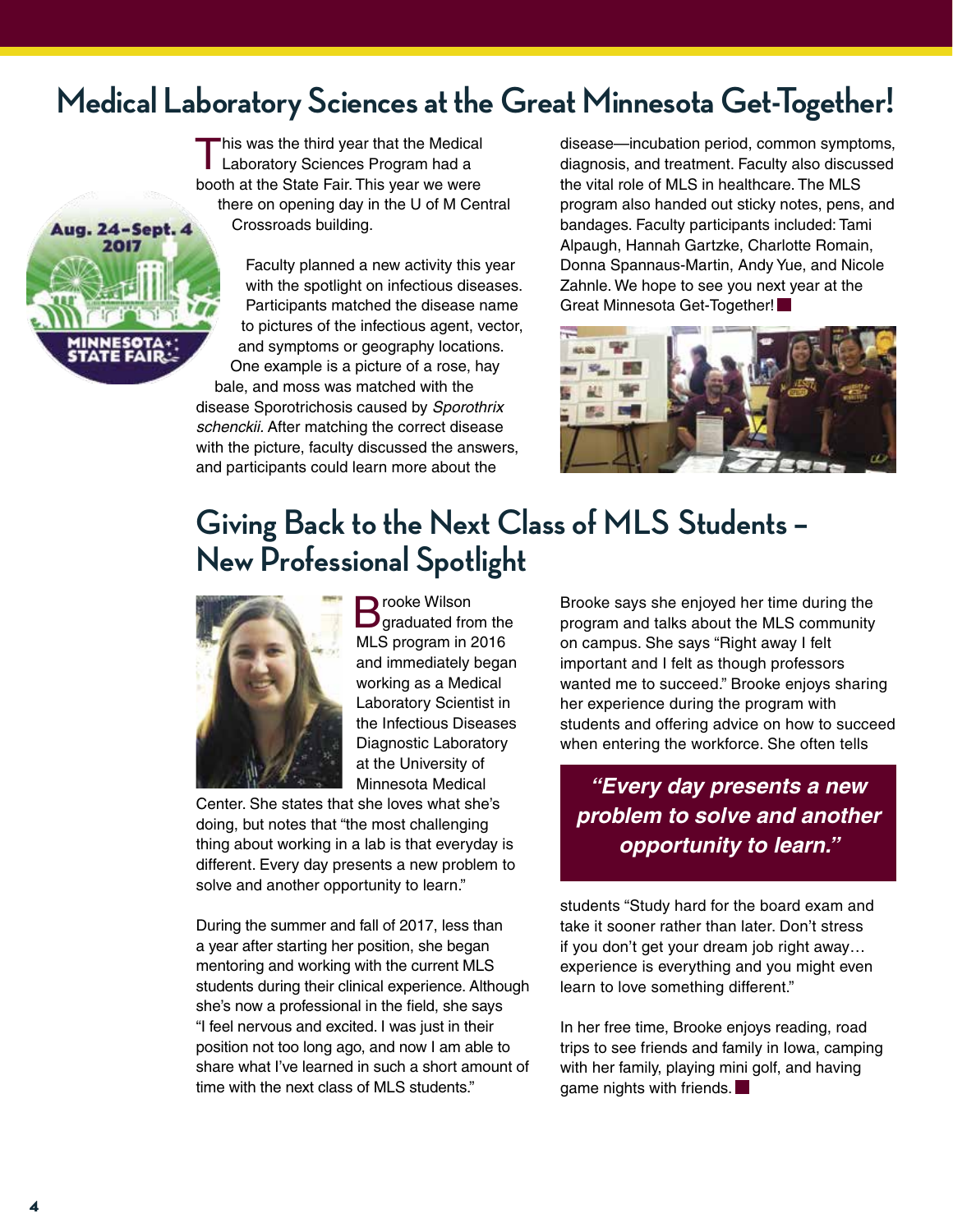### **Medical Laboratory Sciences at the Great Minnesota Get-Together!**

This was the third year that the Medical<br>Laboratory Sciences Program had a booth at the State Fair. This year we were there on opening day in the U of M Central Crossroads building.



Faculty planned a new activity this year with the spotlight on infectious diseases. Participants matched the disease name to pictures of the infectious agent, vector, and symptoms or geography locations. One example is a picture of a rose, hay bale, and moss was matched with the disease Sporotrichosis caused by *Sporothrix schenckii.* After matching the correct disease with the picture, faculty discussed the answers, and participants could learn more about the

disease—incubation period, common symptoms, diagnosis, and treatment. Faculty also discussed the vital role of MLS in healthcare. The MLS program also handed out sticky notes, pens, and bandages. Faculty participants included: Tami Alpaugh, Hannah Gartzke, Charlotte Romain, Donna Spannaus-Martin, Andy Yue, and Nicole Zahnle. We hope to see you next year at the Great Minnesota Get-Together!



### **Giving Back to the Next Class of MLS Students – New Professional Spotlight**



**B** rooke Wilson<br>B graduated from the MLS program in 2016 and immediately began working as a Medical Laboratory Scientist in the Infectious Diseases Diagnostic Laboratory at the University of Minnesota Medical

Center. She states that she loves what she's doing, but notes that "the most challenging thing about working in a lab is that everyday is different. Every day presents a new problem to solve and another opportunity to learn."

During the summer and fall of 2017, less than a year after starting her position, she began mentoring and working with the current MLS students during their clinical experience. Although she's now a professional in the field, she says "I feel nervous and excited. I was just in their position not too long ago, and now I am able to share what I've learned in such a short amount of time with the next class of MLS students."

Brooke says she enjoyed her time during the program and talks about the MLS community on campus. She says "Right away I felt important and I felt as though professors wanted me to succeed." Brooke enjoys sharing her experience during the program with students and offering advice on how to succeed when entering the workforce. She often tells

*"Every day presents a new problem to solve and another opportunity to learn."*

students "Study hard for the board exam and take it sooner rather than later. Don't stress if you don't get your dream job right away… experience is everything and you might even learn to love something different."

In her free time, Brooke enjoys reading, road trips to see friends and family in Iowa, camping with her family, playing mini golf, and having game nights with friends.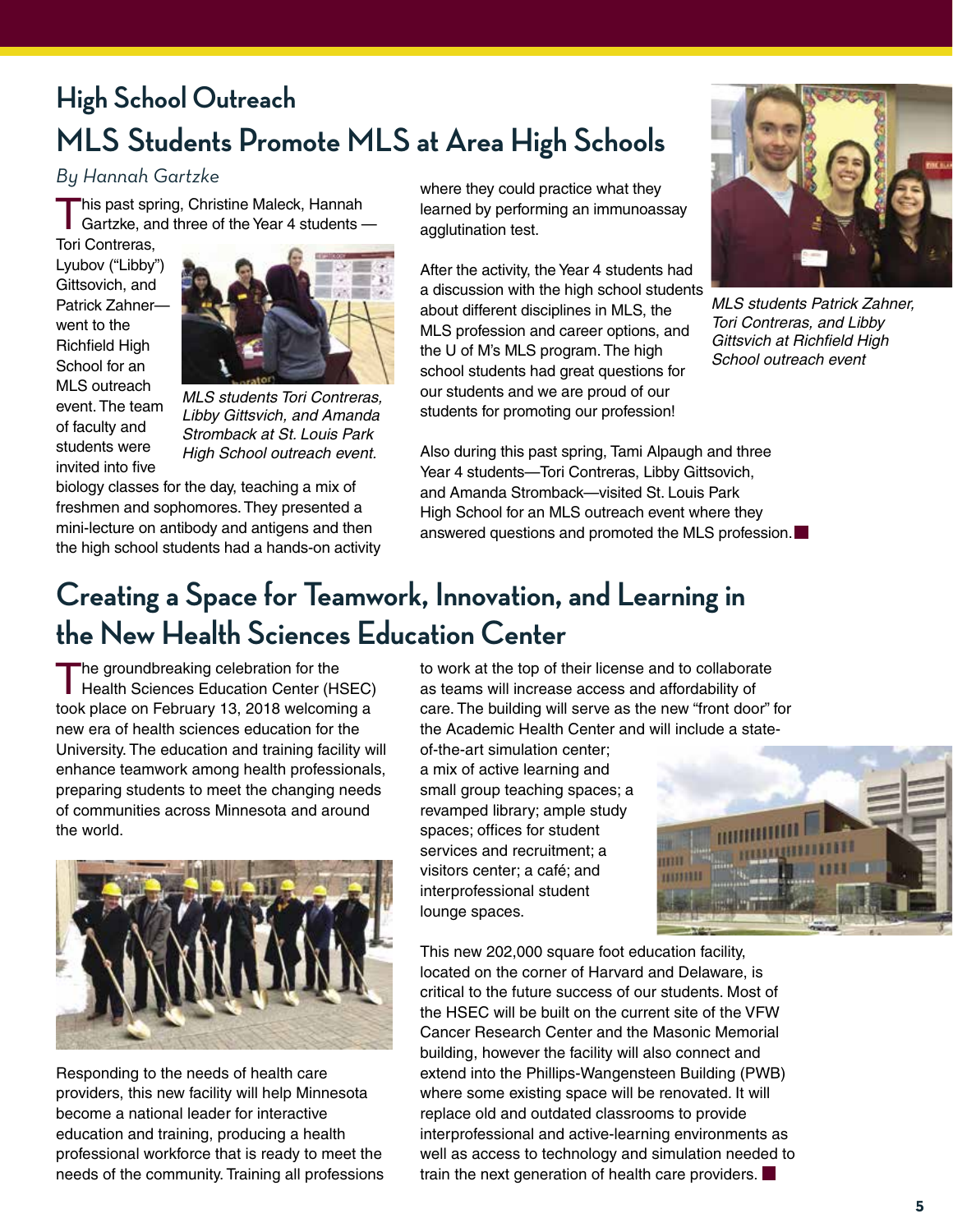### **High School Outreach MLS Students Promote MLS at Area High Schools**

#### *By Hannah Gartzke*

This past spring, Christine Maleck, Hannah Gartzke, and three of the Year 4 students — Tori Contreras,

Lyubov ("Libby") Gittsovich, and Patrick Zahner went to the Richfield High School for an MLS outreach event. The team of faculty and students were invited into five



*MLS students Tori Contreras, Libby Gittsvich, and Amanda Stromback at St. Louis Park High School outreach event.*

biology classes for the day, teaching a mix of freshmen and sophomores. They presented a mini-lecture on antibody and antigens and then the high school students had a hands-on activity where they could practice what they learned by performing an immunoassay agglutination test.

After the activity, the Year 4 students had a discussion with the high school students about different disciplines in MLS, the MLS profession and career options, and the U of M's MLS program. The high school students had great questions for our students and we are proud of our students for promoting our profession!



*MLS students Patrick Zahner, Tori Contreras, and Libby Gittsvich at Richfield High School outreach event*

Also during this past spring, Tami Alpaugh and three Year 4 students—Tori Contreras, Libby Gittsovich, and Amanda Stromback—visited St. Louis Park High School for an MLS outreach event where they answered questions and promoted the MLS profession.

### **Creating a Space for Teamwork, Innovation, and Learning in the New Health Sciences Education Center**

The groundbreaking celebration for the Health Sciences Education Center (HSEC) took place on February 13, 2018 welcoming a new era of health sciences education for the University. The education and training facility will enhance teamwork among health professionals, preparing students to meet the changing needs of communities across Minnesota and around the world.



Responding to the needs of health care providers, this new facility will help Minnesota become a national leader for interactive education and training, producing a health professional workforce that is ready to meet the needs of the community. Training all professions to work at the top of their license and to collaborate as teams will increase access and affordability of care. The building will serve as the new "front door" for the Academic Health Center and will include a state-

of-the-art simulation center; a mix of active learning and small group teaching spaces; a revamped library; ample study spaces; offices for student services and recruitment; a visitors center; a café; and interprofessional student lounge spaces.



This new 202,000 square foot education facility, located on the corner of Harvard and Delaware, is critical to the future success of our students. Most of the HSEC will be built on the current site of the VFW Cancer Research Center and the Masonic Memorial building, however the facility will also connect and extend into the Phillips-Wangensteen Building (PWB) where some existing space will be renovated. It will replace old and outdated classrooms to provide interprofessional and active-learning environments as well as access to technology and simulation needed to train the next generation of health care providers.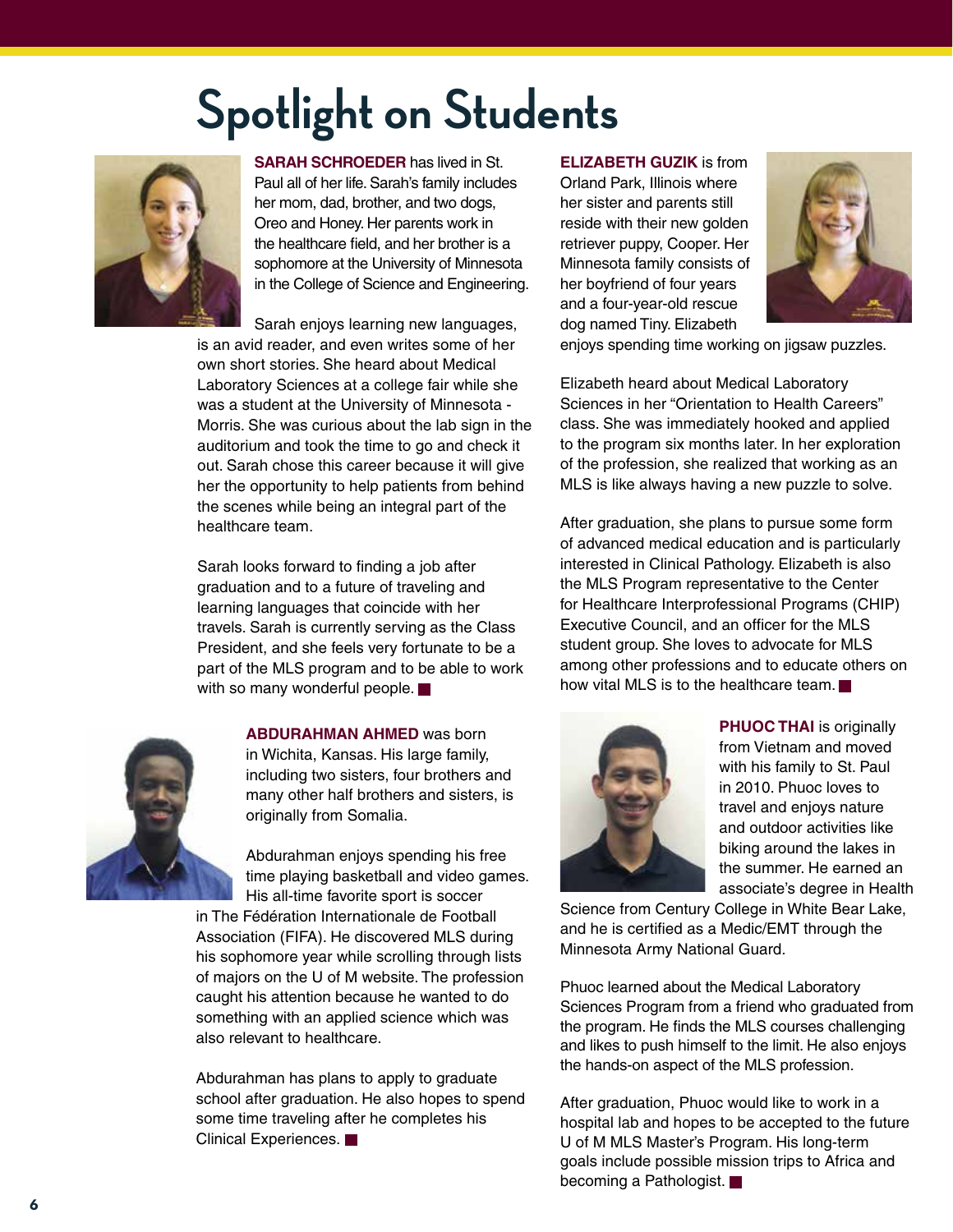# **Spotlight on Students**



**SARAH SCHROEDER** has lived in St. Paul all of her life. Sarah's family includes her mom, dad, brother, and two dogs, Oreo and Honey. Her parents work in the healthcare field, and her brother is a sophomore at the University of Minnesota in the College of Science and Engineering.

Sarah enjoys learning new languages, is an avid reader, and even writes some of her own short stories. She heard about Medical Laboratory Sciences at a college fair while she was a student at the University of Minnesota - Morris. She was curious about the lab sign in the auditorium and took the time to go and check it out. Sarah chose this career because it will give her the opportunity to help patients from behind the scenes while being an integral part of the healthcare team.

Sarah looks forward to finding a job after graduation and to a future of traveling and learning languages that coincide with her travels. Sarah is currently serving as the Class President, and she feels very fortunate to be a part of the MLS program and to be able to work with so many wonderful people.



**ABDURAHMAN AHMED** was born in Wichita, Kansas. His large family, including two sisters, four brothers and many other half brothers and sisters, is originally from Somalia.

Abdurahman enjoys spending his free time playing basketball and video games. His all-time favorite sport is soccer in The Fédération Internationale de Football Association (FIFA). He discovered MLS during his sophomore year while scrolling through lists of majors on the U of M website. The profession caught his attention because he wanted to do something with an applied science which was also relevant to healthcare.

Abdurahman has plans to apply to graduate school after graduation. He also hopes to spend some time traveling after he completes his Clinical Experiences.

**ELIZABETH GUZIK** is from

Orland Park, Illinois where her sister and parents still reside with their new golden retriever puppy, Cooper. Her Minnesota family consists of her boyfriend of four years and a four-year-old rescue dog named Tiny. Elizabeth



enjoys spending time working on jigsaw puzzles.

Elizabeth heard about Medical Laboratory Sciences in her "Orientation to Health Careers" class. She was immediately hooked and applied to the program six months later. In her exploration of the profession, she realized that working as an MLS is like always having a new puzzle to solve.

After graduation, she plans to pursue some form of advanced medical education and is particularly interested in Clinical Pathology. Elizabeth is also the MLS Program representative to the Center for Healthcare Interprofessional Programs (CHIP) Executive Council, and an officer for the MLS student group. She loves to advocate for MLS among other professions and to educate others on how vital MLS is to the healthcare team.



**PHUOC THAI** is originally from Vietnam and moved with his family to St. Paul in 2010. Phuoc loves to travel and enjoys nature and outdoor activities like biking around the lakes in the summer. He earned an associate's degree in Health

Science from Century College in White Bear Lake, and he is certified as a Medic/EMT through the Minnesota Army National Guard.

Phuoc learned about the Medical Laboratory Sciences Program from a friend who graduated from the program. He finds the MLS courses challenging and likes to push himself to the limit. He also enjoys the hands-on aspect of the MLS profession.

After graduation, Phuoc would like to work in a hospital lab and hopes to be accepted to the future U of M MLS Master's Program. His long-term goals include possible mission trips to Africa and becoming a Pathologist.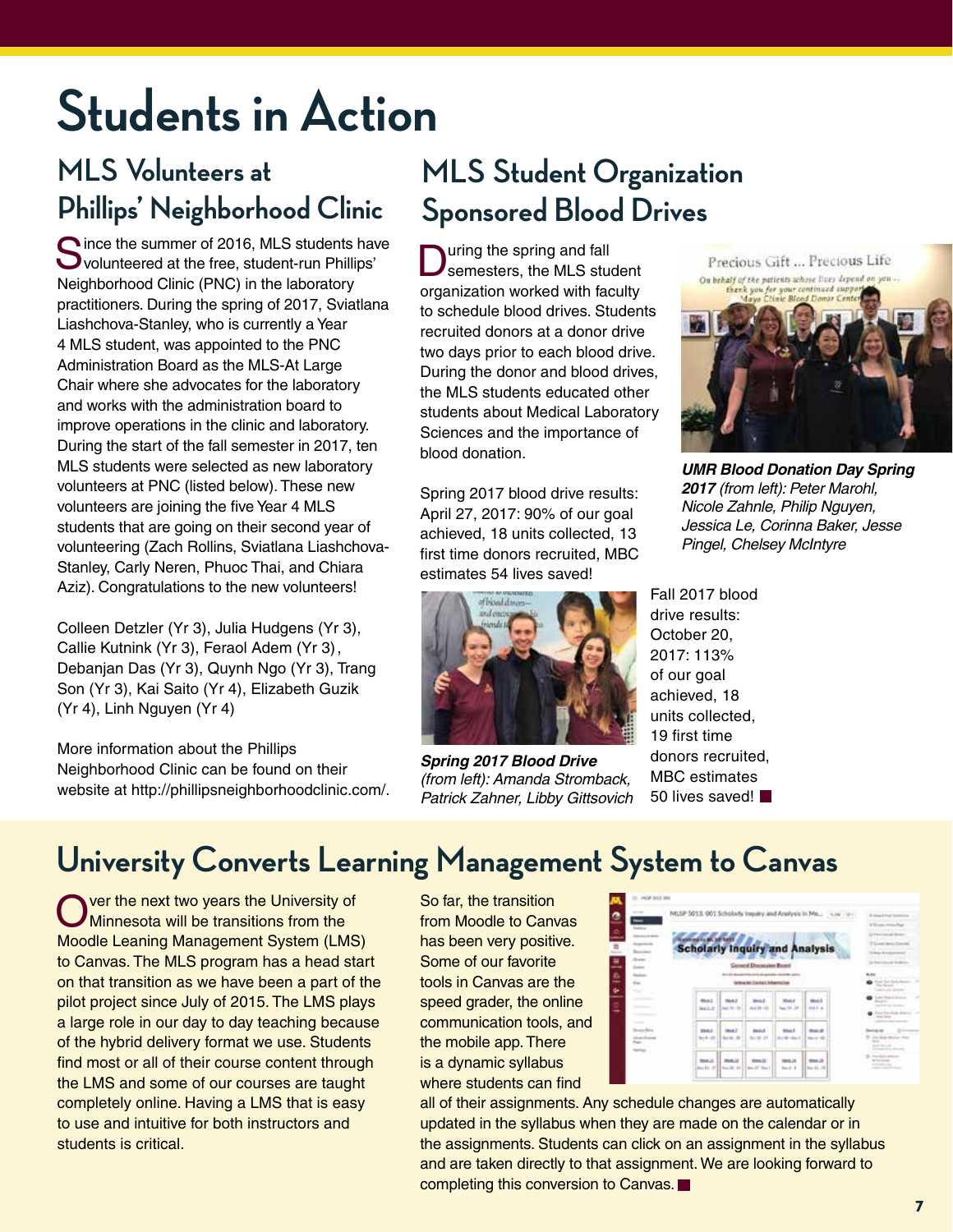# **Students in Action**

### **MLS Volunteers at Phillips' Neighborhood Clinic**

C ince the summer of 2016, MLS students have volunteered at the free, student-run Phillips' Neighborhood Clinic (PNC) in the laboratory practitioners. During the spring of 2017, Sviatlana Liashchova-Stanley, who is currently a Year 4 MLS student, was appointed to the PNC Administration Board as the MLS-At Large Chair where she advocates for the laboratory and works with the administration board to improve operations in the clinic and laboratory. During the start of the fall semester in 2017, ten MLS students were selected as new laboratory volunteers at PNC (listed below). These new volunteers are joining the five Year 4 MLS students that are going on their second year of volunteering (Zach Rollins, Sviatlana Liashchova-Stanley, Carly Neren, Phuoc Thai, and Chiara Aziz). Congratulations to the new volunteers!

Colleen Detzler (Yr 3), Julia Hudgens (Yr 3), Callie Kutnink (Yr 3), Feraol Adem (Yr 3), Debanjan Das (Yr 3), Quynh Ngo (Yr 3), Trang Son (Yr 3), Kai Saito (Yr 4), Elizabeth Guzik (Yr 4), Linh Nguyen (Yr 4)

More information about the Phillips Neighborhood Clinic can be found on their website at http://phillipsneighborhoodclinic.com/.

### **MLS Student Organization Sponsored Blood Drives**

uring the spring and fall semesters, the MLS student organization worked with faculty to schedule blood drives. Students recruited donors at a donor drive two days prior to each blood drive. During the donor and blood drives, the MLS students educated other students about Medical Laboratory Sciences and the importance of blood donation.

Spring 2017 blood drive results: April 27, 2017: 90% of our goal achieved, 18 units collected, 13 first time donors recruited, MBC estimates 54 lives saved!



*Spring 2017 Blood Drive (from left): Amanda Stromback, Patrick Zahner, Libby Gittsovich*

Precious Gift ... Precious Life On behalf of the patients whose lives depend a



*UMR Blood Donation Day Spring 2017 (from left): Peter Marohl, Nicole Zahnle, Philip Nguyen, Jessica Le, Corinna Baker, Jesse Pingel, Chelsey McIntyre*

Fall 2017 blood drive results: October 20, 2017: 113% of our goal achieved, 18 units collected, 19 first time donors recruited, MBC estimates 50 lives saved!

### **University Converts Learning Management System to Canvas**

Ver the next two years the University of Minnesota will be transitions from the Moodle Leaning Management System (LMS) to Canvas. The MLS program has a head start on that transition as we have been a part of the pilot project since July of 2015. The LMS plays a large role in our day to day teaching because of the hybrid delivery format we use. Students find most or all of their course content through the LMS and some of our courses are taught completely online. Having a LMS that is easy to use and intuitive for both instructors and students is critical.

So far, the transition from Moodle to Canvas has been very positive. Some of our favorite tools in Canvas are the speed grader, the online communication tools, and the mobile app. There is a dynamic syllabus where students can find

| <b>Ammy</b>                  |                                                                                          |                                    |                                 |                         | MLSP 5013, 901 Scholarly Impairy and Analysis in Ms., [1619] 1911 | <b>Brahambled</b> In<br>IT IS want the service Print         |  |
|------------------------------|------------------------------------------------------------------------------------------|------------------------------------|---------------------------------|-------------------------|-------------------------------------------------------------------|--------------------------------------------------------------|--|
|                              | <b>Name for 198 yrs and the V</b>                                                        |                                    |                                 |                         |                                                                   |                                                              |  |
|                              | <b>Scholarly Inquiry and Analysis</b>                                                    |                                    |                                 |                         |                                                                   |                                                              |  |
| Seem !                       |                                                                                          |                                    | <b>General Discousing Room!</b> |                         |                                                                   | 12 Electric Locale Annibilities                              |  |
| Holida                       | and the state computation, computation count<br>lections like Carolina's Delivering Cod- |                                    |                                 |                         |                                                                   |                                                              |  |
| You.<br>-                    |                                                                                          |                                    |                                 |                         |                                                                   |                                                              |  |
|                              | <b>MAA1</b><br><b>Jack L. J.</b>                                                         | <b>Hotal</b><br><b>San Windows</b> | <b>Book Rid - Also</b>          | us c<br>has 11-10       | m<1<br>333 3 4                                                    | -----<br>perfect and content                                 |  |
|                              |                                                                                          |                                    |                                 |                         |                                                                   | <b>STATISTICS</b>                                            |  |
| -<br><b>Service British</b>  | <b>THEF</b>                                                                              | 34.4                               | mes.t.                          | <b>Black</b>            | <b>Book of</b>                                                    | <b>America</b> (1983)                                        |  |
| <b>University</b><br>Rate: C | <b>Send of</b>                                                                           | <b>But All</b>                     | 34.34.37                        | <b>Building Council</b> | barra 10                                                          | tion dust distance that<br>domestic ex-                      |  |
| <b>Senior</b>                |                                                                                          |                                    |                                 |                         |                                                                   | The chair and company                                        |  |
|                              | <b>Back</b><br>mate 21                                                                   | <b>MALLS</b><br><b>MARK MA</b>     | $m = 10$<br>Mark 197 Millers &  | 1846,26<br>$km + 4$     | m <sub>1</sub><br>14.18                                           | <b>With Contract</b><br><b>CONTRACTOR</b><br>the control was |  |

all of their assignments. Any schedule changes are automatically updated in the syllabus when they are made on the calendar or in the assignments. Students can click on an assignment in the syllabus and are taken directly to that assignment. We are looking forward to completing this conversion to Canvas.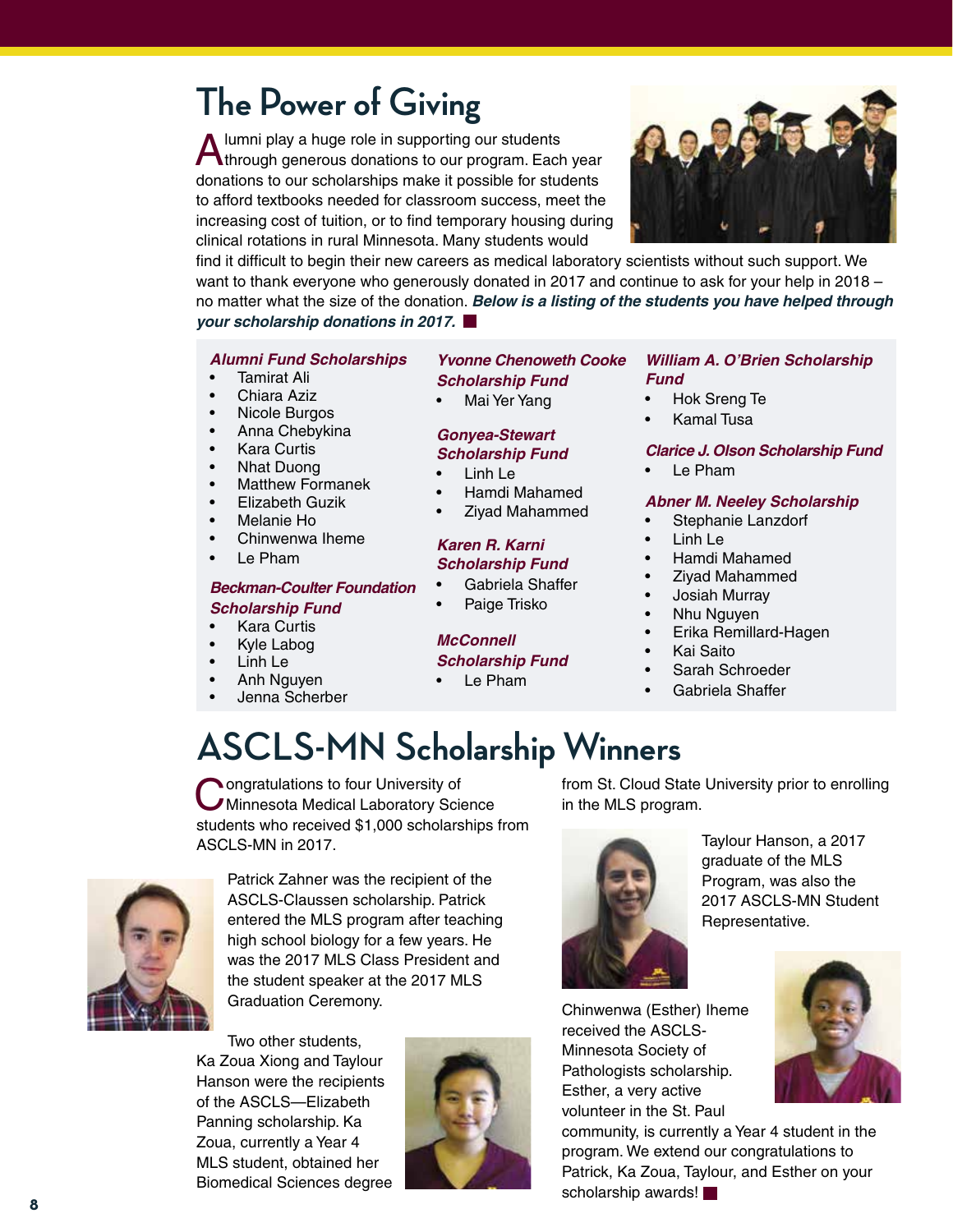### **The Power of Giving**

A lumni play a huge role in supporting our students<br>Athrough generous donations to our program. Each year donations to our scholarships make it possible for students to afford textbooks needed for classroom success, meet the increasing cost of tuition, or to find temporary housing during clinical rotations in rural Minnesota. Many students would

find it difficult to begin their new careers as medical laboratory scientists without such support. We want to thank everyone who generously donated in 2017 and continue to ask for your help in 2018 – no matter what the size of the donation. *Below is a listing of the students you have helped through your scholarship donations in 2017.*

#### *Alumni Fund Scholarships*

- • Tamirat Ali
- Chiara Aziz
- **Nicole Burgos**
- Anna Chebykina
- **Kara Curtis**
- **Nhat Duong**
- **Matthew Formanek**
- **Elizabeth Guzik**
- Melanie Ho
- Chinwenwa Iheme
- Le Pham

#### *Beckman-Coulter Foundation Scholarship Fund*

- **Kara Curtis**
- Kyle Labog
- Linh Le
- Anh Nguyen
- Jenna Scherber

#### *Yvonne Chenoweth Cooke Scholarship Fund*

Mai Yer Yang

#### *Gonyea-Stewart Scholarship Fund*

- Linh Le
- Hamdi Mahamed
- Ziyad Mahammed

#### *Karen R. Karni Scholarship Fund*

- • Gabriela Shaffer
- Paige Trisko

#### *McConnell*

- *Scholarship Fund*
- • Le Pham

#### *William A. O'Brien Scholarship Fund*

- • Hok Sreng Te
- **Kamal Tusa**

#### *Clarice J. Olson Scholarship Fund*

Le Pham

#### *Abner M. Neeley Scholarship*

- • Stephanie Lanzdorf
- Linh Le
- Hamdi Mahamed
- Ziyad Mahammed
- Josiah Murray
- Nhu Nguyen
- Erika Remillard-Hagen
- **Kai Saito**
- Sarah Schroeder
- Gabriela Shaffer

### **ASCLS-MN Scholarship Winners**

Congratulations to four University of<br>
C Minnesota Medical Laboratory Science students who received \$1,000 scholarships from ASCLS-MN in 2017.



Patrick Zahner was the recipient of the ASCLS-Claussen scholarship. Patrick entered the MLS program after teaching high school biology for a few years. He was the 2017 MLS Class President and the student speaker at the 2017 MLS Graduation Ceremony.

Two other students, Ka Zoua Xiong and Taylour Hanson were the recipients of the ASCLS—Elizabeth Panning scholarship. Ka Zoua, currently a Year 4 MLS student, obtained her Biomedical Sciences degree



from St. Cloud State University prior to enrolling in the MLS program.



Taylour Hanson, a 2017 graduate of the MLS Program, was also the 2017 ASCLS-MN Student Representative.

Chinwenwa (Esther) Iheme received the ASCLS-Minnesota Society of Pathologists scholarship. Esther, a very active volunteer in the St. Paul

community, is currently a Year 4 student in the program. We extend our congratulations to Patrick, Ka Zoua, Taylour, and Esther on your scholarship awards!





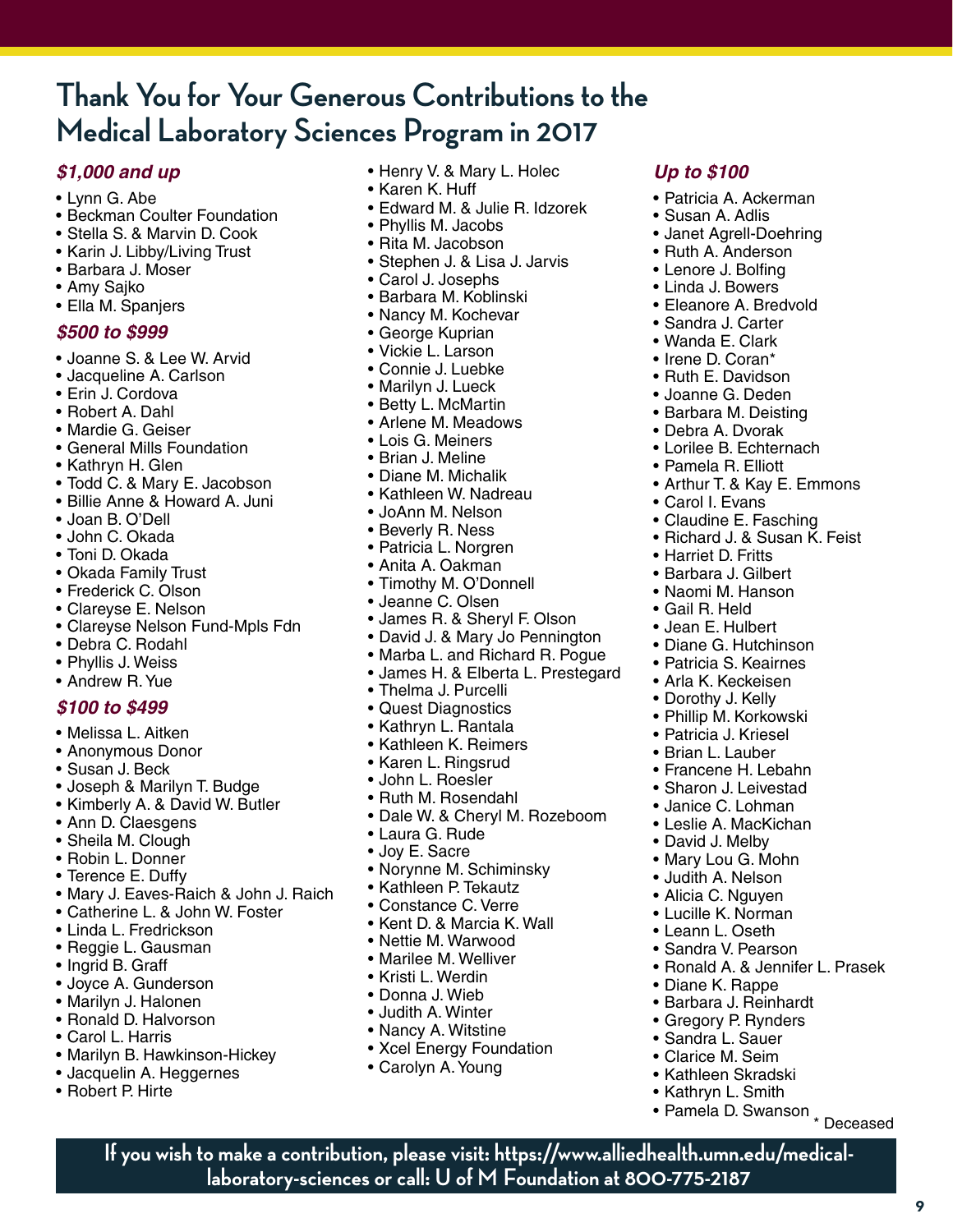### **Thank You for Your Generous Contributions to the Medical Laboratory Sciences Program in 2017**

#### *\$1,000 and up*

- • Lynn G. Abe
- Beckman Coulter Foundation
- • Stella S. & Marvin D. Cook
- Karin J. Libby/Living Trust
- • Barbara J. Moser
- • Amy Sajko
- • Ella M. Spanjers

#### *\$500 to \$999*

- • Joanne S. & Lee W. Arvid
- Jacqueline A. Carlson
- Erin J. Cordova
- • Robert A. Dahl
- • Mardie G. Geiser
- General Mills Foundation
- • Kathryn H. Glen
- Todd C. & Mary E. Jacobson
- • Billie Anne & Howard A. Juni
- • Joan B. O'Dell
- • John C. Okada
- Toni D. Okada
- • Okada Family Trust
- • Frederick C. Olson
- • Clareyse E. Nelson
- Clareyse Nelson Fund-Mpls Fdn
- • Debra C. Rodahl
- Phyllis J. Weiss
- Andrew R. Yue

#### *\$100 to \$499*

- • Melissa L. Aitken
- • Anonymous Donor
- • Susan J. Beck
- • Joseph & Marilyn T. Budge
- Kimberly A. & David W. Butler
- Ann D. Claesgens
- Sheila M. Clough
- • Robin L. Donner
- Terence E. Duffy
- Mary J. Eaves-Raich & John J. Raich
- Catherine L. & John W. Foster
- • Linda L. Fredrickson
- • Reggie L. Gausman
- Ingrid B. Graff
- • Joyce A. Gunderson
- • Marilyn J. Halonen
- • Ronald D. Halvorson
- • Carol L. Harris
- Marilyn B. Hawkinson-Hickey
- Jacquelin A. Heggernes
- • Robert P. Hirte
- Henry V. & Mary L. Holec
- • Karen K. Huff
- • Edward M. & Julie R. Idzorek

*Up to \$100*

• Patricia A. Ackerman • Susan A. Adlis

• Janet Agrell-Doehring • Ruth A. Anderson • Lenore J. Bolfing • Linda J. Bowers • Eleanore A. Bredvold • Sandra J. Carter • Wanda E. Clark • Irene D. Coran\* • Ruth E. Davidson • Joanne G. Deden • Barbara M. Deisting • Debra A. Dvorak • Lorilee B. Echternach • Pamela R. Elliott

• Arthur T. & Kay E. Emmons

• Ronald A. & Jennifer L. Prasek

• Diane K. Rappe • Barbara J. Reinhardt • Gregory P. Rynders • Sandra L. Sauer • Clarice M. Seim • Kathleen Skradski • Kathryn L. Smith • Pamela D. Swanson

• Claudine E. Fasching • Richard J. & Susan K. Feist

• Carol I. Evans

• Harriet D. Fritts • Barbara J. Gilbert • Naomi M. Hanson • Gail R. Held • Jean E. Hulbert • Diane G. Hutchinson • Patricia S. Keairnes • Arla K. Keckeisen • Dorothy J. Kelly • Phillip M. Korkowski • Patricia J. Kriesel • Brian L. Lauber • Francene H. Lebahn • Sharon J. Leivestad • Janice C. Lohman • Leslie A. MacKichan • David J. Melby • Mary Lou G. Mohn • Judith A. Nelson • Alicia C. Nguyen • Lucille K. Norman • Leann L. Oseth • Sandra V. Pearson

- Phyllis M. Jacobs
- Rita M. Jacobson
- • Stephen J. & Lisa J. Jarvis
- • Carol J. Josephs
- • Barbara M. Koblinski
- Nancy M. Kochevar
- George Kuprian
- • Vickie L. Larson
- • Connie J. Luebke
- Marilyn J. Lueck
- • Betty L. McMartin
- Arlene M. Meadows
- • Lois G. Meiners
- • Brian J. Meline
- Diane M. Michalik
- • Kathleen W. Nadreau
- • JoAnn M. Nelson
- Beverly R. Ness
- • Patricia L. Norgren
- • Anita A. Oakman
- Timothy M. O'Donnell
- • Jeanne C. Olsen
- • James R. & Sheryl F. Olson
- David J. & Mary Jo Pennington
- Marba L. and Richard R. Pogue
- James H. & Elberta L. Prestegard
- • Thelma J. Purcelli
- • Quest Diagnostics
- • Kathryn L. Rantala
- • Kathleen K. Reimers
- • Karen L. Ringsrud
- • John L. Roesler
- Ruth M. Rosendahl
- Dale W. & Cheryl M. Rozeboom
- • Laura G. Rude
- Joy E. Sacre
- Norynne M. Schiminsky
- • Kathleen P. Tekautz
- • Constance C. Verre
- • Kent D. & Marcia K. Wall

**If you wish to make a contribution, please visit: https://www.alliedhealth.umn.edu/medicallaboratory-sciences or call: U of M Foundation at 800-775-2187**

**9**

\* Deceased

- Nettie M. Warwood
- • Marilee M. Welliver
- • Kristi L. Werdin
- • Donna J. Wieb
- Judith A. Winter
- Nancy A. Witstine • Xcel Energy Foundation

• Carolyn A. Young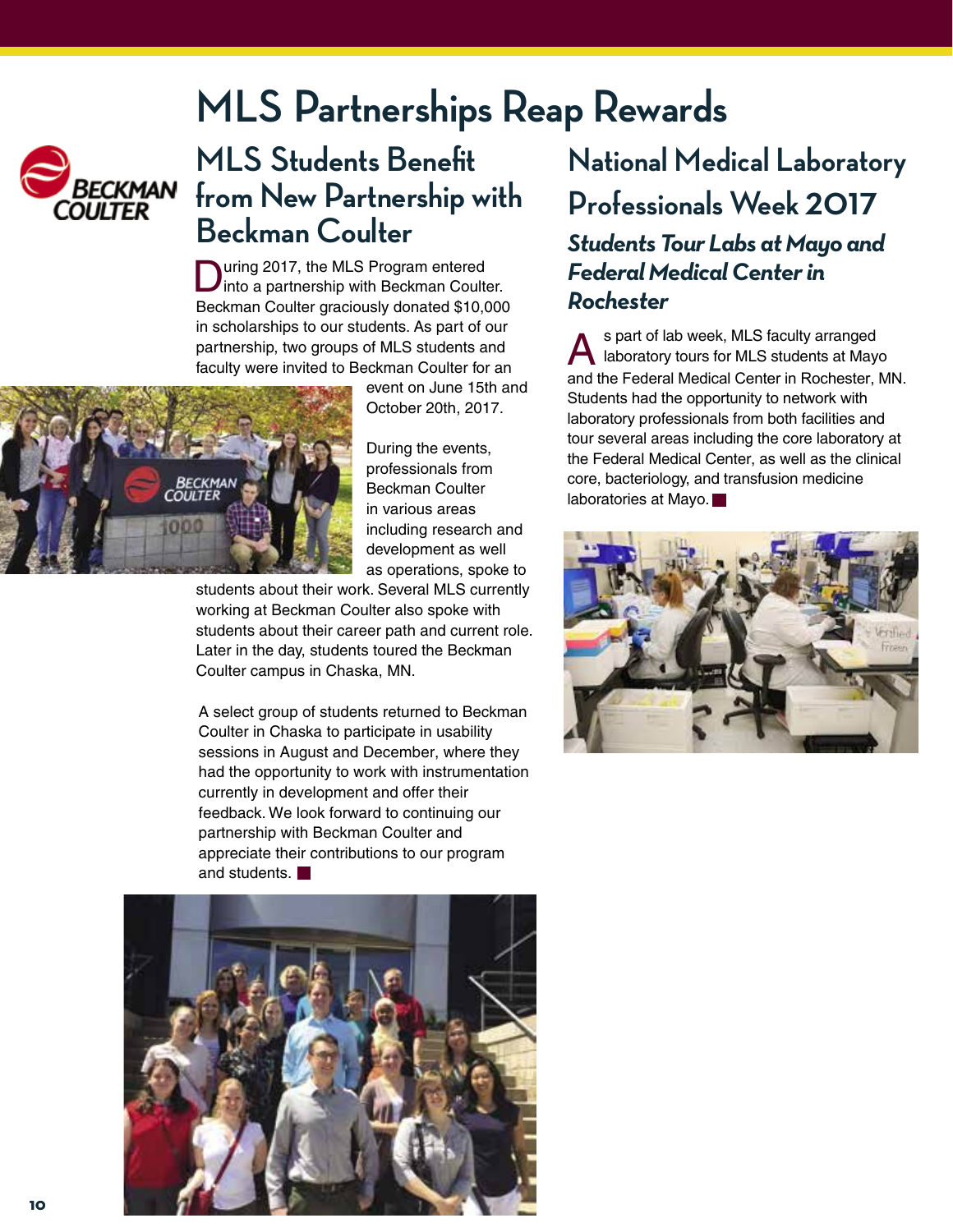### **MLS Partnerships Reap Rewards**



### **MLS Students Benefit**  *BECKMAN* from New Partnership with **Beckman Coulter**

During 2017, the MLS Program entered<br>into a partnership with Beckman Coulter. Beckman Coulter graciously donated \$10,000 in scholarships to our students. As part of our partnership, two groups of MLS students and faculty were invited to Beckman Coulter for an



event on June 15th and October 20th, 2017.

During the events, professionals from Beckman Coulter in various areas including research and development as well as operations, spoke to

students about their work. Several MLS currently working at Beckman Coulter also spoke with students about their career path and current role. Later in the day, students toured the Beckman Coulter campus in Chaska, MN.

A select group of students returned to Beckman Coulter in Chaska to participate in usability sessions in August and December, where they had the opportunity to work with instrumentation currently in development and offer their feedback. We look forward to continuing our partnership with Beckman Coulter and appreciate their contributions to our program and students.



### **National Medical Laboratory Professionals Week 2017**  *Students Tour Labs at Mayo and*

*Federal Medical Center in Rochester*

**A** spart of lab week, MLS faculty arranged<br>aboratory tours for MLS students at Mayo s part of lab week, MLS faculty arranged and the Federal Medical Center in Rochester, MN. Students had the opportunity to network with laboratory professionals from both facilities and tour several areas including the core laboratory at the Federal Medical Center, as well as the clinical core, bacteriology, and transfusion medicine laboratories at Mayo.

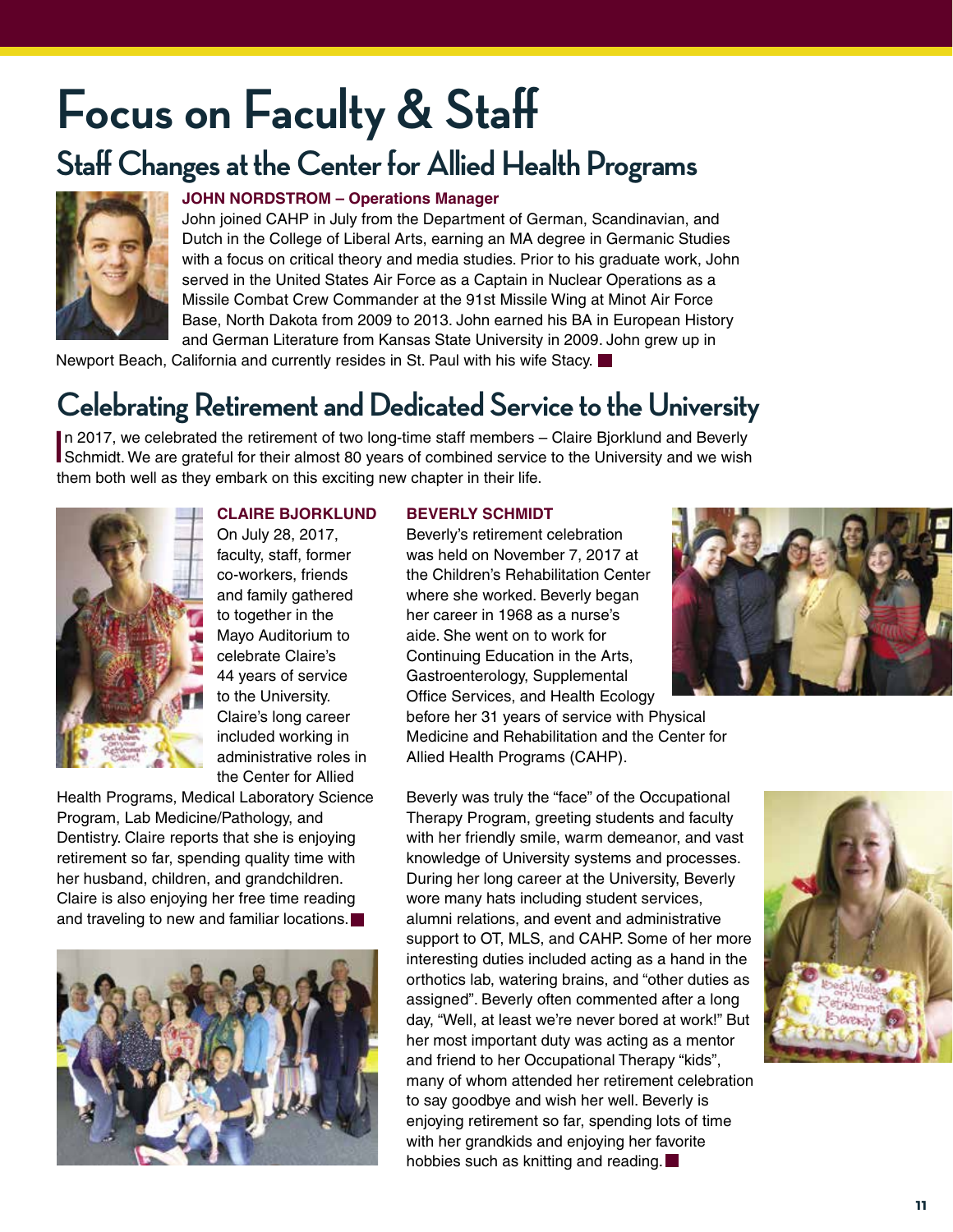# **Focus on Faculty & Staff**

### **Staff Changes at the Center for Allied Health Programs**



#### **JOHN NORDSTROM – Operations Manager**

John joined CAHP in July from the Department of German, Scandinavian, and Dutch in the College of Liberal Arts, earning an MA degree in Germanic Studies with a focus on critical theory and media studies. Prior to his graduate work, John served in the United States Air Force as a Captain in Nuclear Operations as a Missile Combat Crew Commander at the 91st Missile Wing at Minot Air Force Base, North Dakota from 2009 to 2013. John earned his BA in European History and German Literature from Kansas State University in 2009. John grew up in

Newport Beach, California and currently resides in St. Paul with his wife Stacy.

### **Celebrating Retirement and Dedicated Service to the University**

In 2017, we celebrated the retirement of two long-time staff members – Claire Bjorklund and Beverly<br>Schmidt. We are grateful for their almost 80 years of combined service to the University and we wish In 2017, we celebrated the retirement of two long-time staff members – Claire Bjorklund and Beverly them both well as they embark on this exciting new chapter in their life.



#### **CLAIRE BJORKLUND**

On July 28, 2017, faculty, staff, former co-workers, friends and family gathered to together in the Mayo Auditorium to celebrate Claire's 44 years of service to the University. Claire's long career included working in administrative roles in the Center for Allied

Health Programs, Medical Laboratory Science Program, Lab Medicine/Pathology, and Dentistry. Claire reports that she is enjoying retirement so far, spending quality time with her husband, children, and grandchildren. Claire is also enjoying her free time reading and traveling to new and familiar locations.



#### **BEVERLY SCHMIDT**

Beverly's retirement celebration was held on November 7, 2017 at the Children's Rehabilitation Center where she worked. Beverly began her career in 1968 as a nurse's aide. She went on to work for Continuing Education in the Arts, Gastroenterology, Supplemental Office Services, and Health Ecology

before her 31 years of service with Physical Medicine and Rehabilitation and the Center for Allied Health Programs (CAHP).

Beverly was truly the "face" of the Occupational Therapy Program, greeting students and faculty with her friendly smile, warm demeanor, and vast knowledge of University systems and processes. During her long career at the University, Beverly wore many hats including student services, alumni relations, and event and administrative support to OT, MLS, and CAHP. Some of her more interesting duties included acting as a hand in the orthotics lab, watering brains, and "other duties as assigned". Beverly often commented after a long day, "Well, at least we're never bored at work!" But her most important duty was acting as a mentor and friend to her Occupational Therapy "kids", many of whom attended her retirement celebration to say goodbye and wish her well. Beverly is enjoying retirement so far, spending lots of time with her grandkids and enjoying her favorite hobbies such as knitting and reading.



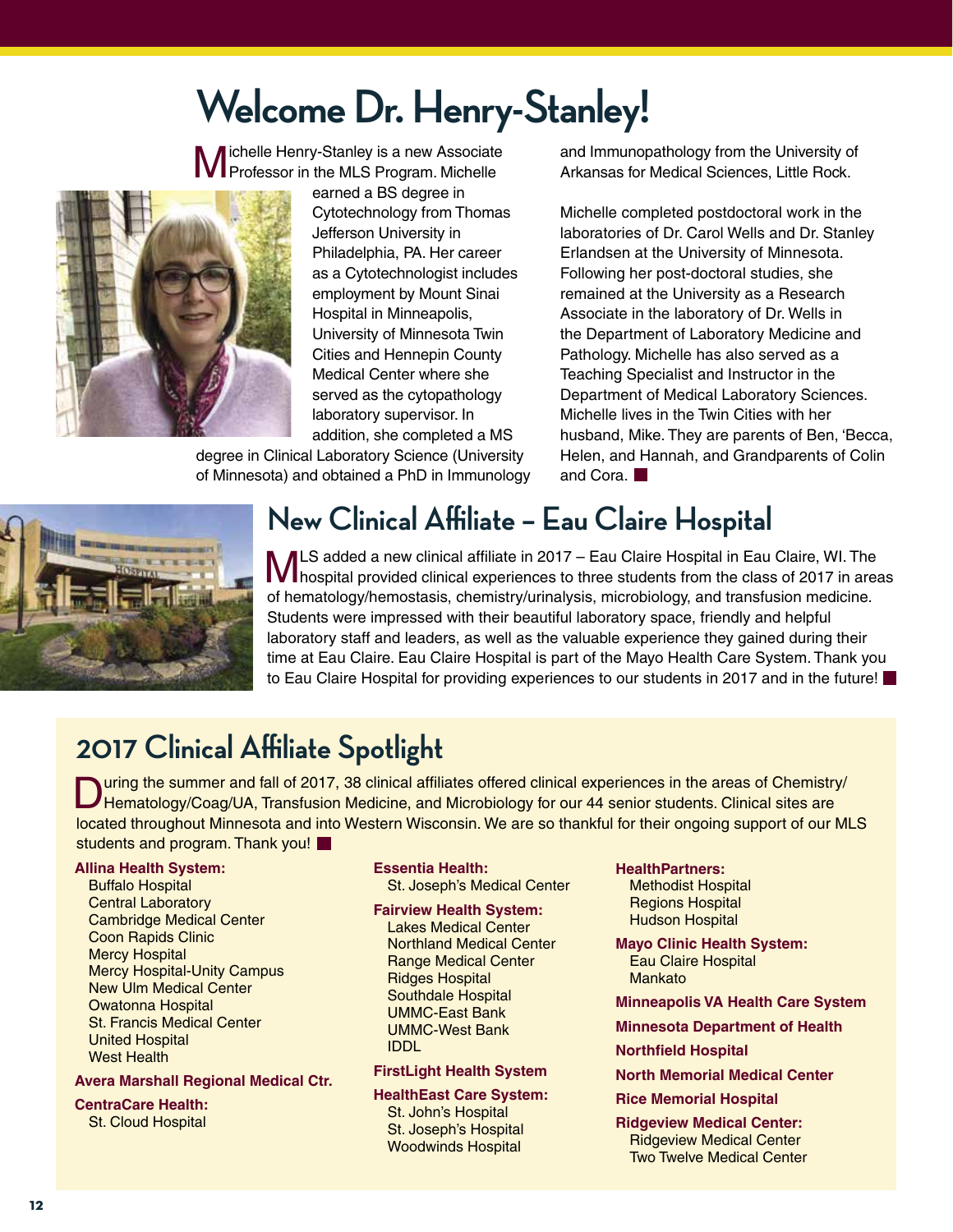### **Welcome Dr. Henry-Stanley!**

Michelle Henry-Stanley is a new Associate Professor in the MLS Program. Michelle



earned a BS degree in Cytotechnology from Thomas Jefferson University in Philadelphia, PA. Her career as a Cytotechnologist includes employment by Mount Sinai Hospital in Minneapolis, University of Minnesota Twin Cities and Hennepin County Medical Center where she served as the cytopathology laboratory supervisor. In addition, she completed a MS

degree in Clinical Laboratory Science (University of Minnesota) and obtained a PhD in Immunology and Immunopathology from the University of Arkansas for Medical Sciences, Little Rock.

Michelle completed postdoctoral work in the laboratories of Dr. Carol Wells and Dr. Stanley Erlandsen at the University of Minnesota. Following her post-doctoral studies, she remained at the University as a Research Associate in the laboratory of Dr. Wells in the Department of Laboratory Medicine and Pathology. Michelle has also served as a Teaching Specialist and Instructor in the Department of Medical Laboratory Sciences. Michelle lives in the Twin Cities with her husband, Mike. They are parents of Ben, 'Becca, Helen, and Hannah, and Grandparents of Colin and Cora.



### **New Clinical Affiliate – Eau Claire Hospital**

MLS added a new clinical affiliate in 2017 – Eau Claire Hospital in Eau Claire, WI. The<br>Mhospital provided clinical experiences to three students from the class of 2017 in areas of hematology/hemostasis, chemistry/urinalysis, microbiology, and transfusion medicine. Students were impressed with their beautiful laboratory space, friendly and helpful laboratory staff and leaders, as well as the valuable experience they gained during their time at Eau Claire. Eau Claire Hospital is part of the Mayo Health Care System. Thank you to Eau Claire Hospital for providing experiences to our students in 2017 and in the future!

### **2017 Clinical Affiliate Spotlight**

During the summer and fall of 2017, 38 clinical affiliates offered clinical experiences in the areas of Chemistry/<br>Hematology/Coag/UA, Transfusion Medicine, and Microbiology for our 44 senior students. Clinical sites are located throughout Minnesota and into Western Wisconsin. We are so thankful for their ongoing support of our MLS students and program. Thank you!

#### **Allina Health System:**

Buffalo Hospital Central Laboratory Cambridge Medical Center Coon Rapids Clinic Mercy Hospital Mercy Hospital-Unity Campus New Ulm Medical Center Owatonna Hospital St. Francis Medical Center United Hospital West Health

#### **Avera Marshall Regional Medical Ctr.**

**CentraCare Health:**  St. Cloud Hospital

### **Essentia Health:**

St. Joseph's Medical Center

#### **Fairview Health System:**

Lakes Medical Center Northland Medical Center Range Medical Center Ridges Hospital Southdale Hospital UMMC-East Bank UMMC-West Bank IDDL

#### **FirstLight Health System**

**HealthEast Care System:** St. John's Hospital St. Joseph's Hospital Woodwinds Hospital

#### **HealthPartners:**

Methodist Hospital Regions Hospital Hudson Hospital

**Mayo Clinic Health System:** Eau Claire Hospital Mankato

**Minneapolis VA Health Care System**

**Minnesota Department of Health** 

#### **Northfield Hospital**

**North Memorial Medical Center**

**Rice Memorial Hospital**

**Ridgeview Medical Center:** Ridgeview Medical Center Two Twelve Medical Center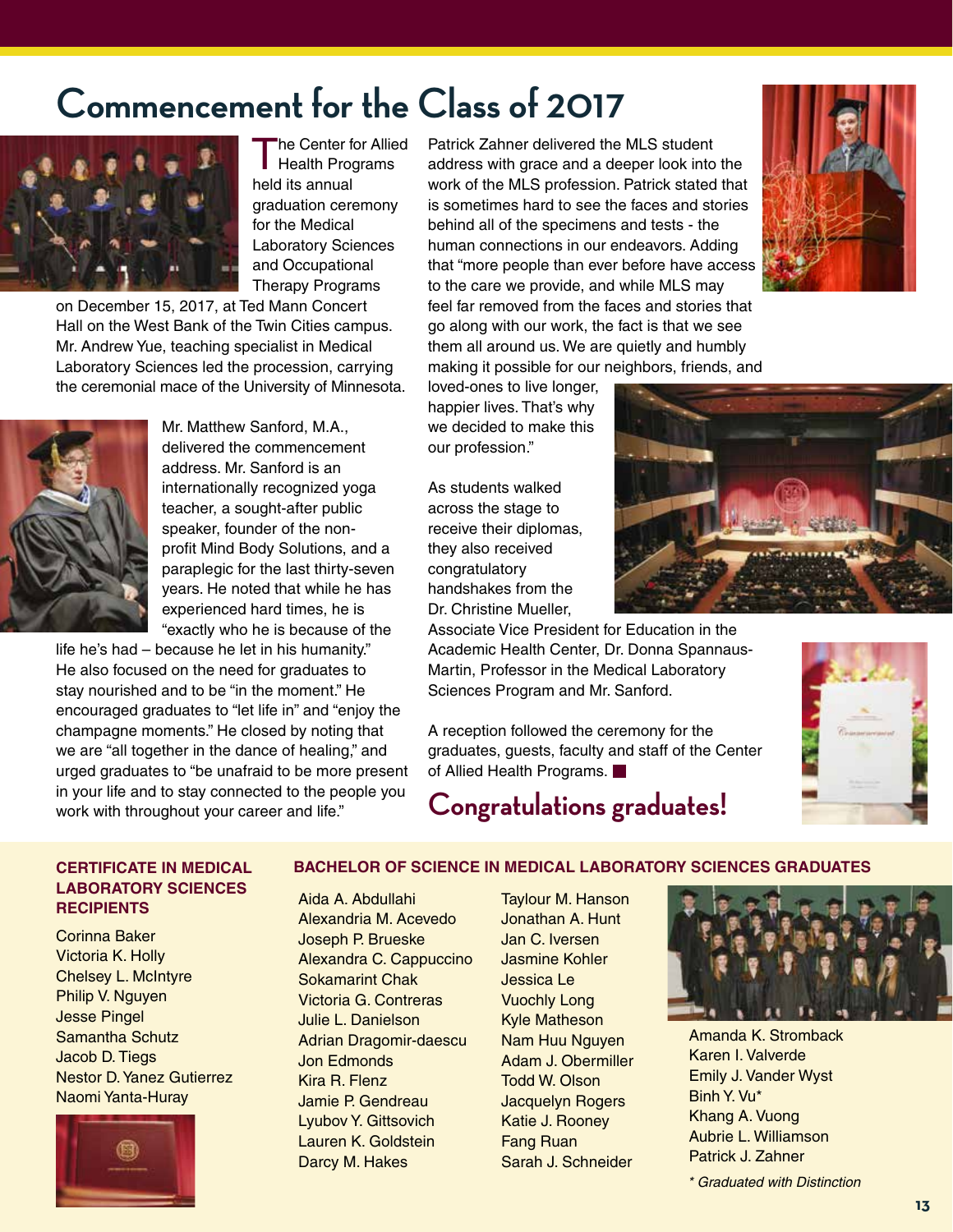### **Commencement for the Class of 2017**



The Center for Allied Health Programs held its annual graduation ceremony for the Medical Laboratory Sciences and Occupational Therapy Programs

on December 15, 2017, at Ted Mann Concert Hall on the West Bank of the Twin Cities campus. Mr. Andrew Yue, teaching specialist in Medical Laboratory Sciences led the procession, carrying the ceremonial mace of the University of Minnesota.



Mr. Matthew Sanford, M.A., delivered the commencement address. Mr. Sanford is an internationally recognized yoga teacher, a sought-after public speaker, founder of the nonprofit Mind Body Solutions, and a paraplegic for the last thirty-seven years. He noted that while he has experienced hard times, he is "exactly who he is because of the

life he's had – because he let in his humanity." He also focused on the need for graduates to stay nourished and to be "in the moment." He encouraged graduates to "let life in" and "enjoy the champagne moments." He closed by noting that we are "all together in the dance of healing," and urged graduates to "be unafraid to be more present in your life and to stay connected to the people you work with throughout your career and life."

Patrick Zahner delivered the MLS student address with grace and a deeper look into the work of the MLS profession. Patrick stated that is sometimes hard to see the faces and stories behind all of the specimens and tests - the human connections in our endeavors. Adding that "more people than ever before have access to the care we provide, and while MLS may feel far removed from the faces and stories that go along with our work, the fact is that we see them all around us. We are quietly and humbly

loved-ones to live longer, happier lives. That's why we decided to make this our profession."

As students walked across the stage to receive their diplomas, they also received congratulatory handshakes from the Dr. Christine Mueller,

Associate Vice President for Education in the Academic Health Center, Dr. Donna Spannaus-Martin, Professor in the Medical Laboratory Sciences Program and Mr. Sanford.

A reception followed the ceremony for the graduates, guests, faculty and staff of the Center of Allied Health Programs.

### **Congratulations graduates!**







#### **CERTIFICATE IN MEDICAL LABORATORY SCIENCES RECIPIENTS**

Corinna Baker Victoria K. Holly Chelsey L. McIntyre Philip V. Nguyen Jesse Pingel Samantha Schutz Jacob D. Tiegs Nestor D. Yanez Gutierrez Naomi Yanta-Huray



#### **BACHELOR OF SCIENCE IN MEDICAL LABORATORY SCIENCES GRADUATES**

Aida A. Abdullahi Alexandria M. Acevedo Joseph P. Brueske Alexandra C. Cappuccino Sokamarint Chak Victoria G. Contreras Julie L. Danielson Adrian Dragomir-daescu Jon Edmonds Kira R. Flenz Jamie P. Gendreau Lyubov Y. Gittsovich Lauren K. Goldstein Darcy M. Hakes

Taylour M. Hanson Jonathan A. Hunt Jan C. Iversen Jasmine Kohler Jessica Le Vuochly Long Kyle Matheson Nam Huu Nguyen Adam J. Obermiller Todd W. Olson Jacquelyn Rogers Katie J. Rooney Fang Ruan Sarah J. Schneider



Amanda K. Stromback Karen I. Valverde Emily J. Vander Wyst Binh Y. Vu\* Khang A. Vuong Aubrie L. Williamson Patrick J. Zahner

*\* Graduated with Distinction*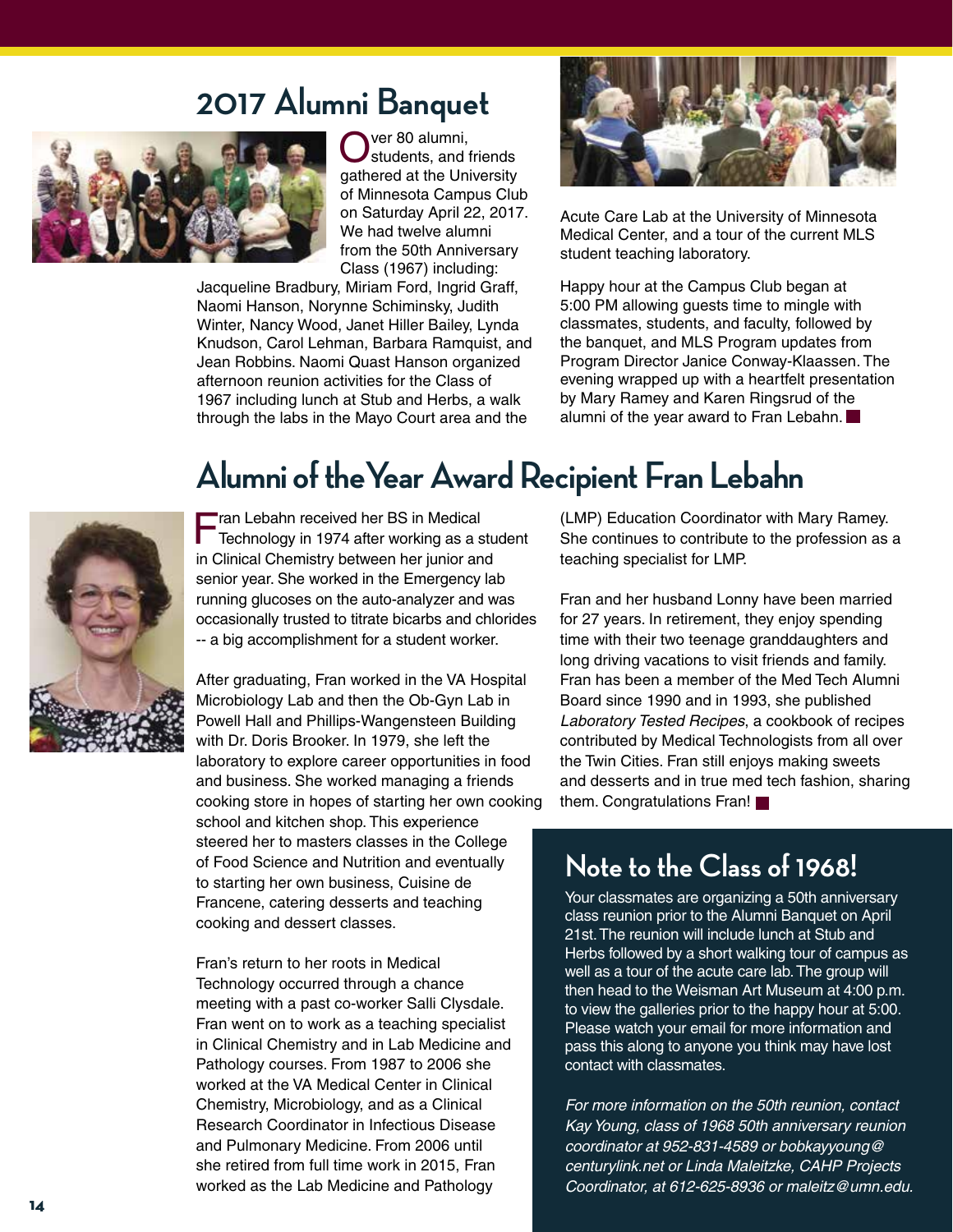### **2017 Alumni Banquet**



ver 80 alumni, students, and friends gathered at the University of Minnesota Campus Club on Saturday April 22, 2017. We had twelve alumni from the 50th Anniversary Class (1967) including:

Jacqueline Bradbury, Miriam Ford, Ingrid Graff, Naomi Hanson, Norynne Schiminsky, Judith Winter, Nancy Wood, Janet Hiller Bailey, Lynda Knudson, Carol Lehman, Barbara Ramquist, and Jean Robbins. Naomi Quast Hanson organized afternoon reunion activities for the Class of 1967 including lunch at Stub and Herbs, a walk through the labs in the Mayo Court area and the



Acute Care Lab at the University of Minnesota Medical Center, and a tour of the current MLS student teaching laboratory.

Happy hour at the Campus Club began at 5:00 PM allowing guests time to mingle with classmates, students, and faculty, followed by the banquet, and MLS Program updates from Program Director Janice Conway-Klaassen. The evening wrapped up with a heartfelt presentation by Mary Ramey and Karen Ringsrud of the alumni of the year award to Fran Lebahn.



### **Alumni of theYear Award Recipient Fran Lebahn**

Fran Lebahn received her BS in Medical Technology in 1974 after working as a student in Clinical Chemistry between her junior and senior year. She worked in the Emergency lab running glucoses on the auto-analyzer and was occasionally trusted to titrate bicarbs and chlorides -- a big accomplishment for a student worker.

After graduating, Fran worked in the VA Hospital Microbiology Lab and then the Ob-Gyn Lab in Powell Hall and Phillips-Wangensteen Building with Dr. Doris Brooker. In 1979, she left the laboratory to explore career opportunities in food and business. She worked managing a friends cooking store in hopes of starting her own cooking school and kitchen shop. This experience steered her to masters classes in the College of Food Science and Nutrition and eventually to starting her own business, Cuisine de Francene, catering desserts and teaching cooking and dessert classes.

Fran's return to her roots in Medical Technology occurred through a chance meeting with a past co-worker Salli Clysdale. Fran went on to work as a teaching specialist in Clinical Chemistry and in Lab Medicine and Pathology courses. From 1987 to 2006 she worked at the VA Medical Center in Clinical Chemistry, Microbiology, and as a Clinical Research Coordinator in Infectious Disease and Pulmonary Medicine. From 2006 until she retired from full time work in 2015, Fran worked as the Lab Medicine and Pathology

(LMP) Education Coordinator with Mary Ramey. She continues to contribute to the profession as a teaching specialist for LMP.

Fran and her husband Lonny have been married for 27 years. In retirement, they enjoy spending time with their two teenage granddaughters and long driving vacations to visit friends and family. Fran has been a member of the Med Tech Alumni Board since 1990 and in 1993, she published *Laboratory Tested Recipes*, a cookbook of recipes contributed by Medical Technologists from all over the Twin Cities. Fran still enjoys making sweets and desserts and in true med tech fashion, sharing them. Congratulations Fran!

### **Note to the Class of 1968!**

Your classmates are organizing a 50th anniversary class reunion prior to the Alumni Banquet on April 21st. The reunion will include lunch at Stub and Herbs followed by a short walking tour of campus as well as a tour of the acute care lab. The group will then head to the Weisman Art Museum at 4:00 p.m. to view the galleries prior to the happy hour at 5:00. Please watch your email for more information and pass this along to anyone you think may have lost contact with classmates.

*For more information on the 50th reunion, contact Kay Young, class of 1968 50th anniversary reunion coordinator at 952-831-4589 or bobkayyoung@ centurylink.net or Linda Maleitzke, CAHP Projects Coordinator, at 612-625-8936 or maleitz@umn.edu.*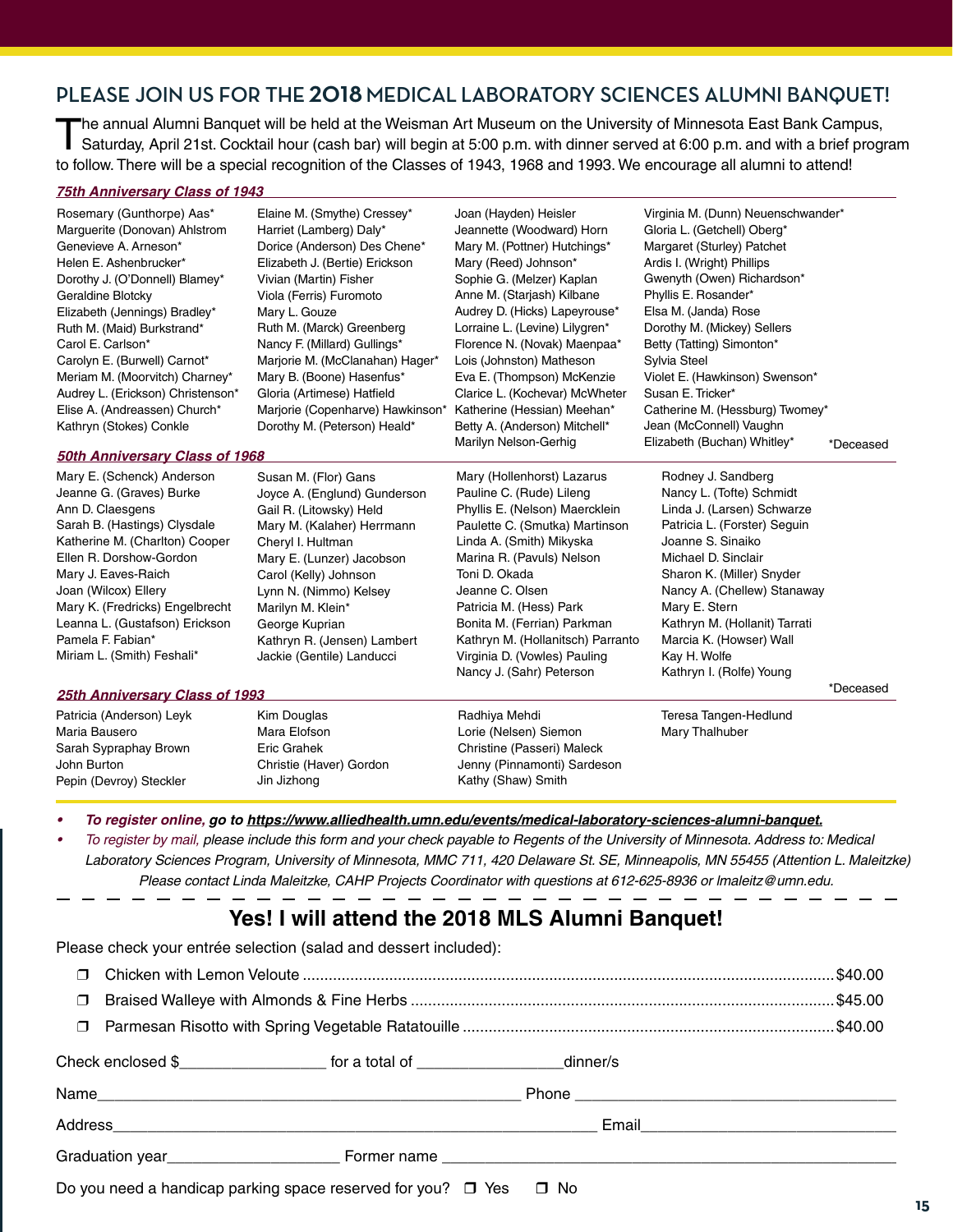### **PLEASE JOIN US FOR THE 2018 MEDICAL LABORATORY SCIENCES ALUMNI BANQUET!**

The annual Alumni Banquet will be held at the Weisman Art Museum on the University of Minnesota East Bank Campus,<br>Saturday, April 21st. Cocktail hour (cash bar) will begin at 5:00 p.m. with dinner served at 6:00 p.m. and w to follow. There will be a special recognition of the Classes of 1943, 1968 and 1993. We encourage all alumni to attend!

> Joan (Hayden) Heisler Jeannette (Woodward) Horn Mary M. (Pottner) Hutchings\* Mary (Reed) Johnson\* Sophie G. (Melzer) Kaplan Anne M. (Starjash) Kilbane Audrey D. (Hicks) Lapeyrouse\* Lorraine L. (Levine) Lilygren\* Florence N. (Novak) Maenpaa\* Lois (Johnston) Matheson Eva E. (Thompson) McKenzie Clarice L. (Kochevar) McWheter Katherine (Hessian) Meehan\* Betty A. (Anderson) Mitchell\* Marilyn Nelson-Gerhig

#### *75th Anniversary Class of 1943*

Rosemary (Gunthorpe) Aas\* Marguerite (Donovan) Ahlstrom Genevieve A. Arneson\* Helen E. Ashenbrucker\* Dorothy J. (O'Donnell) Blamey\* Geraldine Blotcky Elizabeth (Jennings) Bradley\* Ruth M. (Maid) Burkstrand\* Carol E. Carlson\* Carolyn E. (Burwell) Carnot\* Meriam M. (Moorvitch) Charney\* Audrey L. (Erickson) Christenson\* Elise A. (Andreassen) Church\* Kathryn (Stokes) Conkle

#### *50th Anniversary Class of 1968*

Mary E. (Schenck) Anderson Jeanne G. (Graves) Burke Ann D. Claesgens Sarah B. (Hastings) Clysdale Katherine M. (Charlton) Cooper Ellen R. Dorshow-Gordon Mary J. Eaves-Raich Joan (Wilcox) Ellery Mary K. (Fredricks) Engelbrecht Leanna L. (Gustafson) Erickson Pamela F. Fabian\* Miriam L. (Smith) Feshali\*

#### *25th Anniversary Class of 1993*

Patricia (Anderson) Leyk Maria Bausero Sarah Sypraphay Brown John Burton Pepin (Devroy) Steckler

Kim Douglas Mara Elofson Eric Grahek Christie (Haver) Gordon Jin Jizhong

Kathryn R. (Jensen) Lambert Jackie (Gentile) Landucci

Elaine M. (Smythe) Cressey\* Harriet (Lamberg) Daly\* Dorice (Anderson) Des Chene\* Elizabeth J. (Bertie) Erickson Vivian (Martin) Fisher Viola (Ferris) Furomoto Mary L. Gouze

Ruth M. (Marck) Greenberg Nancy F. (Millard) Gullings\* Marjorie M. (McClanahan) Hager\* Mary B. (Boone) Hasenfus\* Gloria (Artimese) Hatfield Marjorie (Copenharve) Hawkinson\* Dorothy M. (Peterson) Heald\*

Susan M. (Flor) Gans Joyce A. (Englund) Gunderson Gail R. (Litowsky) Held Mary M. (Kalaher) Herrmann

Cheryl I. Hultman Mary E. (Lunzer) Jacobson Carol (Kelly) Johnson Lynn N. (Nimmo) Kelsey Marilyn M. Klein\* George Kuprian

> Radhiya Mehdi Lorie (Nelsen) Siemon Christine (Passeri) Maleck Jenny (Pinnamonti) Sardeson Kathy (Shaw) Smith

Mary (Hollenhorst) Lazarus Pauline C. (Rude) Lileng Phyllis E. (Nelson) Maercklein Paulette C. (Smutka) Martinson Linda A. (Smith) Mikyska Marina R. (Pavuls) Nelson

Toni D. Okada Jeanne C. Olsen Patricia M. (Hess) Park Bonita M. (Ferrian) Parkman Kathryn M. (Hollanitsch) Parranto Virginia D. (Vowles) Pauling Nancy J. (Sahr) Peterson

> Teresa Tangen-Hedlund Mary Thalhuber

Kathryn I. (Rolfe) Young

Kathryn M. (Hollanit) Tarrati Marcia K. (Howser) Wall

Virginia M. (Dunn) Neuenschwander\*

Gloria L. (Getchell) Oberg\* Margaret (Sturley) Patchet Ardis I. (Wright) Phillips Gwenyth (Owen) Richardson\* Phyllis E. Rosander\* Elsa M. (Janda) Rose Dorothy M. (Mickey) Sellers Betty (Tatting) Simonton\*

Violet E. (Hawkinson) Swenson\*

Catherine M. (Hessburg) Twomey\* Jean (McConnell) Vaughn Elizabeth (Buchan) Whitley\*

\*Deceased

\*Deceased

Rodney J. Sandberg Nancy L. (Tofte) Schmidt Linda J. (Larsen) Schwarze Patricia L. (Forster) Seguin Joanne S. Sinaiko Michael D. Sinclair Sharon K. (Miller) Snyder Nancy A. (Chellew) Stanaway

Mary E. Stern

Kay H. Wolfe

Sylvia Steel

Susan E. Tricker\*

**•**  *To register online, go to https://www.alliedhealth.umn.edu/events/medical-laboratory-sciences-alumni-banquet.*

To register by mail, please include this form and your check payable to Regents of the University of Minnesota. Address to: Medical *Laboratory Sciences Program, University of Minnesota, MMC 711, 420 Delaware St. SE, Minneapolis, MN 55455 (Attention L. Maleitzke) Please contact Linda Maleitzke, CAHP Projects Coordinator with questions at 612-625-8936 or lmaleitz@umn.edu.*

### **Yes! I will attend the 2018 MLS Alumni Banquet!**

Please check your entrée selection (salad and dessert included):

| $\Box$ |                                                                                        |  |  |
|--------|----------------------------------------------------------------------------------------|--|--|
| $\Box$ |                                                                                        |  |  |
|        | Check enclosed \$_______________________ for a total of ______________________dinner/s |  |  |
|        |                                                                                        |  |  |
|        |                                                                                        |  |  |
|        |                                                                                        |  |  |
|        |                                                                                        |  |  |

Do you need a handicap parking space reserved for you?  $\Box$  Yes  $\Box$  No